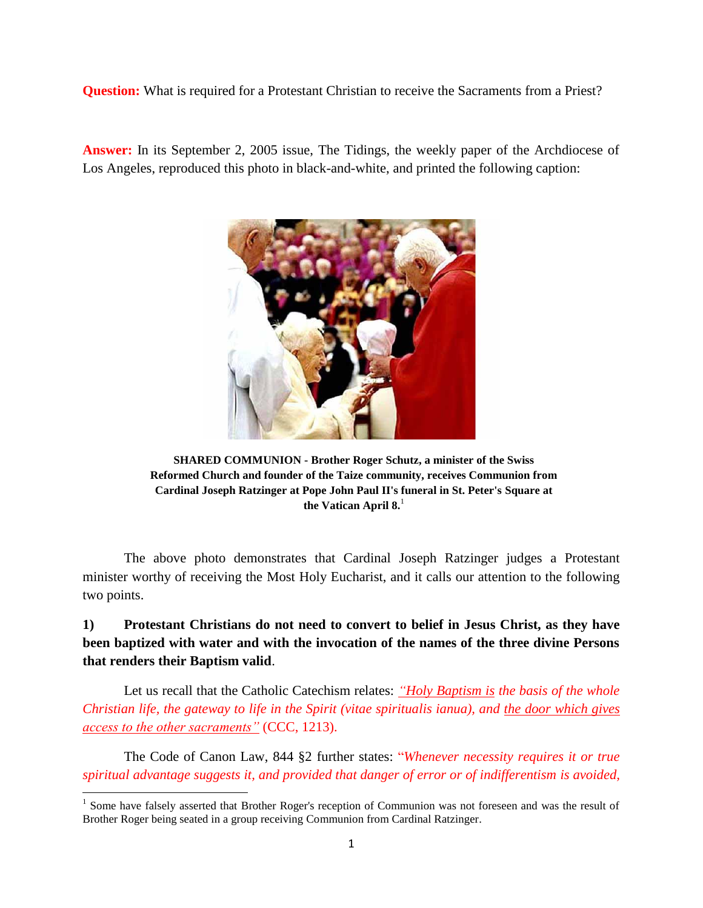**Question:** What is required for a Protestant Christian to receive the Sacraments from a Priest?

**Answer:** In its September 2, 2005 issue, The Tidings, the weekly paper of the Archdiocese of Los Angeles, reproduced this photo in black-and-white, and printed the following caption:



**SHARED COMMUNION - Brother Roger Schutz, a minister of the Swiss Reformed Church and founder of the Taize community, receives Communion from Cardinal Joseph Ratzinger at Pope John Paul II's funeral in St. Peter's Square at the Vatican April 8.**<sup>1</sup>

The above photo demonstrates that Cardinal Joseph Ratzinger judges a Protestant minister worthy of receiving the Most Holy Eucharist, and it calls our attention to the following two points.

# **1) Protestant Christians do not need to convert to belief in Jesus Christ, as they have been baptized with water and with the invocation of the names of the three divine Persons that renders their Baptism valid**.

Let us recall that the Catholic Catechism relates: *"Holy Baptism is the basis of the whole Christian life, the gateway to life in the Spirit (vitae spiritualis ianua), and the door which gives access to the other sacraments"* (CCC, 1213).

The Code of Canon Law, 844 §2 further states: "*Whenever necessity requires it or true spiritual advantage suggests it, and provided that danger of error or of indifferentism is avoided,* 

<sup>&</sup>lt;sup>1</sup> Some have falsely asserted that Brother Roger's reception of Communion was not foreseen and was the result of Brother Roger being seated in a group receiving Communion from Cardinal Ratzinger.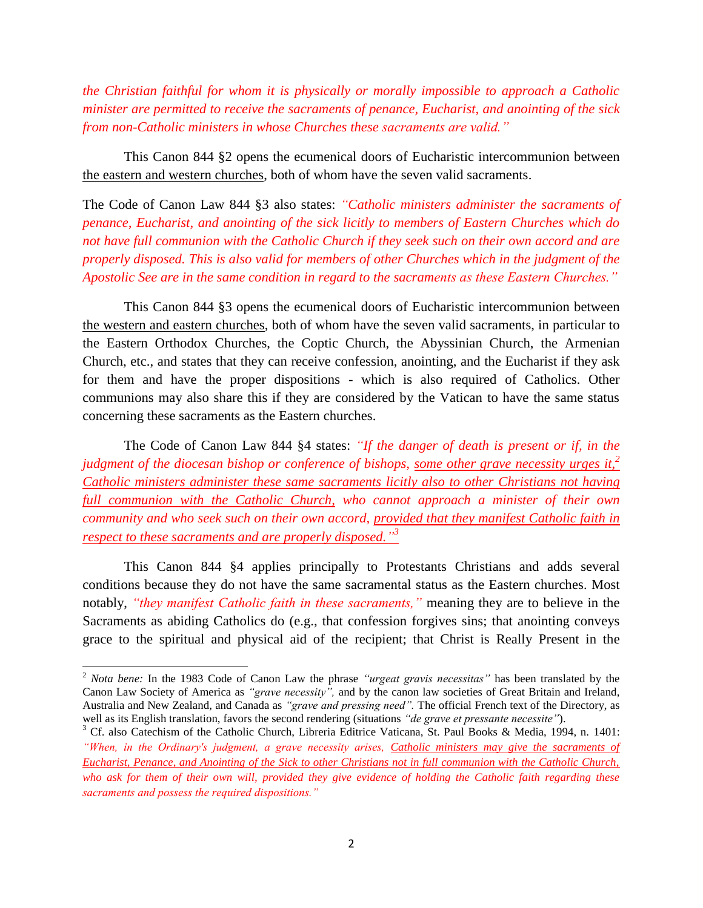*the Christian faithful for whom it is physically or morally impossible to approach a Catholic minister are permitted to receive the sacraments of penance, Eucharist, and anointing of the sick from non-Catholic ministers in whose Churches these sacraments are valid."*

This Canon 844 §2 opens the ecumenical doors of Eucharistic intercommunion between the eastern and western churches, both of whom have the seven valid sacraments.

The Code of Canon Law 844 §3 also states: *"Catholic ministers administer the sacraments of penance, Eucharist, and anointing of the sick licitly to members of Eastern Churches which do not have full communion with the Catholic Church if they seek such on their own accord and are properly disposed. This is also valid for members of other Churches which in the judgment of the Apostolic See are in the same condition in regard to the sacraments as these Eastern Churches."*

This Canon 844 §3 opens the ecumenical doors of Eucharistic intercommunion between the western and eastern churches, both of whom have the seven valid sacraments, in particular to the Eastern Orthodox Churches, the Coptic Church, the Abyssinian Church, the Armenian Church, etc., and states that they can receive confession, anointing, and the Eucharist if they ask for them and have the proper dispositions - which is also required of Catholics. Other communions may also share this if they are considered by the Vatican to have the same status concerning these sacraments as the Eastern churches.

The Code of Canon Law 844 §4 states: *"If the danger of death is present or if, in the judgment of the diocesan bishop or conference of bishops, some other grave necessity urges it,<sup>2</sup> Catholic ministers administer these same sacraments licitly also to other Christians not having full communion with the Catholic Church, who cannot approach a minister of their own community and who seek such on their own accord, provided that they manifest Catholic faith in respect to these sacraments and are properly disposed." 3*

This Canon 844 §4 applies principally to Protestants Christians and adds several conditions because they do not have the same sacramental status as the Eastern churches. Most notably, *"they manifest Catholic faith in these sacraments,"* meaning they are to believe in the Sacraments as abiding Catholics do (e.g., that confession forgives sins; that anointing conveys grace to the spiritual and physical aid of the recipient; that Christ is Really Present in the

 $\overline{a}$ 

<sup>2</sup> *Nota bene:* In the 1983 Code of Canon Law the phrase *"urgeat gravis necessitas"* has been translated by the Canon Law Society of America as *"grave necessity",* and by the canon law societies of Great Britain and Ireland, Australia and New Zealand, and Canada as *"grave and pressing need".* The official French text of the Directory, as well as its English translation, favors the second rendering (situations *"de grave et pressante necessite"*).

<sup>&</sup>lt;sup>3</sup> Cf. also Catechism of the Catholic Church, Libreria Editrice Vaticana, St. Paul Books & Media, 1994, n. 1401: *"When, in the Ordinary's judgment, a grave necessity arises, Catholic ministers may give the sacraments of Eucharist, Penance, and Anointing of the Sick to other Christians not in full communion with the Catholic Church, who ask for them of their own will, provided they give evidence of holding the Catholic faith regarding these sacraments and possess the required dispositions."*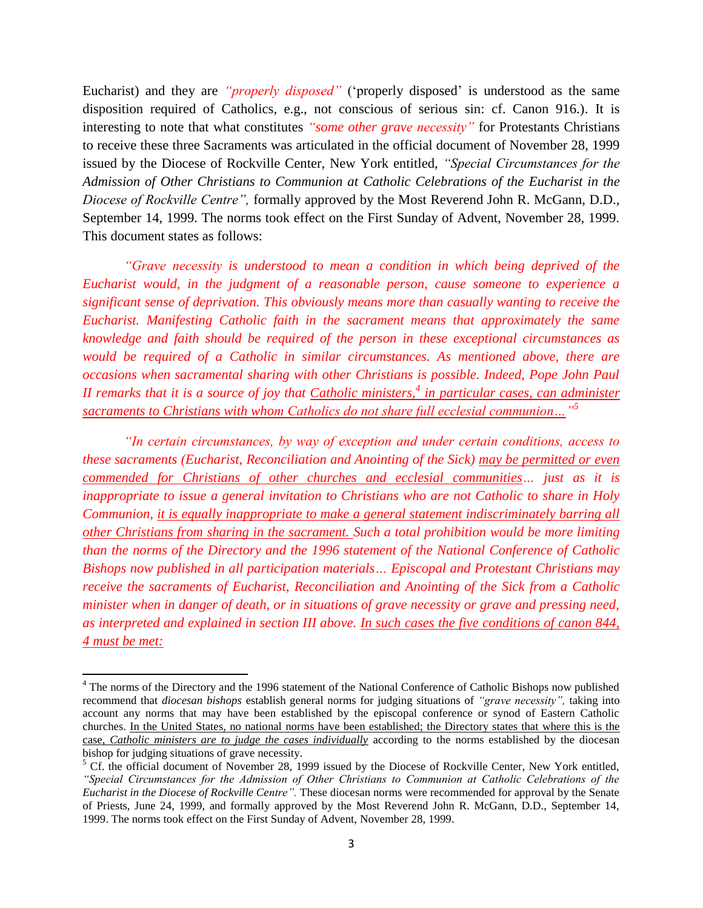Eucharist) and they are *"properly disposed"* ('properly disposed' is understood as the same disposition required of Catholics, e.g., not conscious of serious sin: cf. Canon 916.). It is interesting to note that what constitutes *"some other grave necessity"* for Protestants Christians to receive these three Sacraments was articulated in the official document of November 28, 1999 issued by the Diocese of Rockville Center, New York entitled, *"Special Circumstances for the Admission of Other Christians to Communion at Catholic Celebrations of the Eucharist in the Diocese of Rockville Centre",* formally approved by the Most Reverend John R. McGann, D.D., September 14, 1999. The norms took effect on the First Sunday of Advent, November 28, 1999. This document states as follows:

*"Grave necessity is understood to mean a condition in which being deprived of the Eucharist would, in the judgment of a reasonable person, cause someone to experience a significant sense of deprivation. This obviously means more than casually wanting to receive the Eucharist. Manifesting Catholic faith in the sacrament means that approximately the same knowledge and faith should be required of the person in these exceptional circumstances as would be required of a Catholic in similar circumstances. As mentioned above, there are occasions when sacramental sharing with other Christians is possible. Indeed, Pope John Paul II remarks that it is a source of joy that Catholic ministers,<sup>4</sup> in particular cases, can administer sacraments to Christians with whom Catholics do not share full ecclesial communion…" 5*

*"In certain circumstances, by way of exception and under certain conditions, access to these sacraments (Eucharist, Reconciliation and Anointing of the Sick) may be permitted or even commended for Christians of other churches and ecclesial communities… just as it is inappropriate to issue a general invitation to Christians who are not Catholic to share in Holy Communion, it is equally inappropriate to make a general statement indiscriminately barring all other Christians from sharing in the sacrament. Such a total prohibition would be more limiting than the norms of the Directory and the 1996 statement of the National Conference of Catholic Bishops now published in all participation materials… Episcopal and Protestant Christians may receive the sacraments of Eucharist, Reconciliation and Anointing of the Sick from a Catholic minister when in danger of death, or in situations of grave necessity or grave and pressing need, as interpreted and explained in section III above. In such cases the five conditions of canon 844, 4 must be met:*

 $\overline{a}$ 

<sup>&</sup>lt;sup>4</sup> The norms of the Directory and the 1996 statement of the National Conference of Catholic Bishops now published recommend that *diocesan bishops* establish general norms for judging situations of *"grave necessity",* taking into account any norms that may have been established by the episcopal conference or synod of Eastern Catholic churches. In the United States, no national norms have been established; the Directory states that where this is the case, *Catholic ministers are to judge the cases individually* according to the norms established by the diocesan bishop for judging situations of grave necessity.

 $<sup>5</sup>$  Cf. the official document of November 28, 1999 issued by the Diocese of Rockville Center, New York entitled,</sup> *"Special Circumstances for the Admission of Other Christians to Communion at Catholic Celebrations of the Eucharist in the Diocese of Rockville Centre".* These diocesan norms were recommended for approval by the Senate of Priests, June 24, 1999, and formally approved by the Most Reverend John R. McGann, D.D., September 14, 1999. The norms took effect on the First Sunday of Advent, November 28, 1999.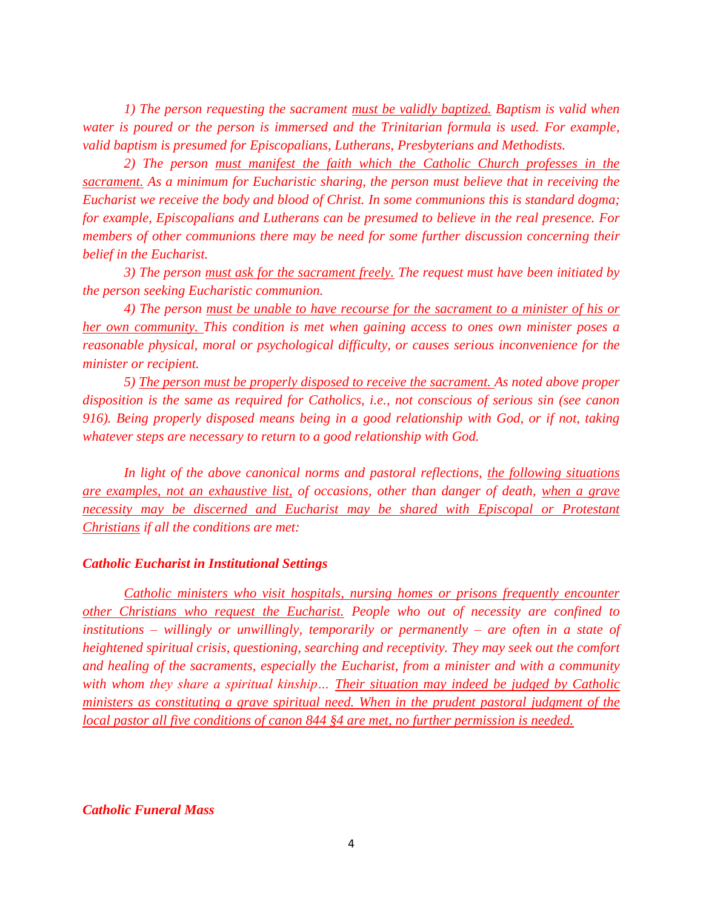*1) The person requesting the sacrament must be validly baptized. Baptism is valid when water is poured or the person is immersed and the Trinitarian formula is used. For example, valid baptism is presumed for Episcopalians, Lutherans, Presbyterians and Methodists.*

*2) The person must manifest the faith which the Catholic Church professes in the sacrament. As a minimum for Eucharistic sharing, the person must believe that in receiving the Eucharist we receive the body and blood of Christ. In some communions this is standard dogma; for example, Episcopalians and Lutherans can be presumed to believe in the real presence. For members of other communions there may be need for some further discussion concerning their belief in the Eucharist.*

*3) The person must ask for the sacrament freely. The request must have been initiated by the person seeking Eucharistic communion.*

*4) The person must be unable to have recourse for the sacrament to a minister of his or her own community. This condition is met when gaining access to ones own minister poses a reasonable physical, moral or psychological difficulty, or causes serious inconvenience for the minister or recipient.*

*5) The person must be properly disposed to receive the sacrament. As noted above proper disposition is the same as required for Catholics, i.e., not conscious of serious sin (see canon 916). Being properly disposed means being in a good relationship with God, or if not, taking whatever steps are necessary to return to a good relationship with God.* 

*In light of the above canonical norms and pastoral reflections, the following situations are examples, not an exhaustive list, of occasions, other than danger of death, when a grave necessity may be discerned and Eucharist may be shared with Episcopal or Protestant Christians if all the conditions are met:*

### *Catholic Eucharist in Institutional Settings*

*Catholic ministers who visit hospitals, nursing homes or prisons frequently encounter other Christians who request the Eucharist. People who out of necessity are confined to institutions – willingly or unwillingly, temporarily or permanently – are often in a state of heightened spiritual crisis, questioning, searching and receptivity. They may seek out the comfort and healing of the sacraments, especially the Eucharist, from a minister and with a community with whom they share a spiritual kinship… Their situation may indeed be judged by Catholic ministers as constituting a grave spiritual need. When in the prudent pastoral judgment of the local pastor all five conditions of canon 844 §4 are met, no further permission is needed.*

## *Catholic Funeral Mass*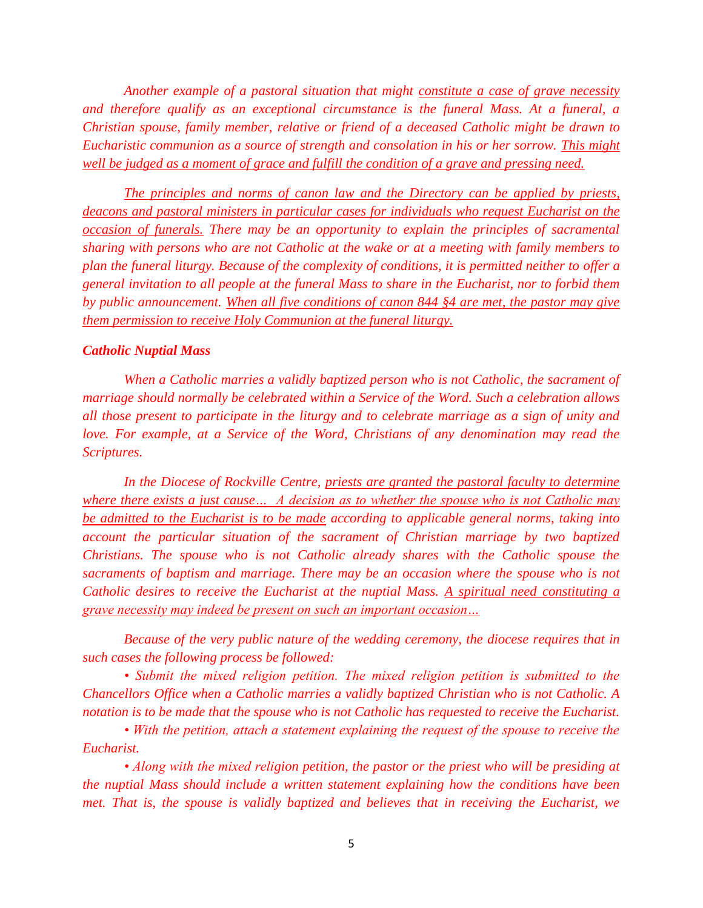*Another example of a pastoral situation that might constitute a case of grave necessity and therefore qualify as an exceptional circumstance is the funeral Mass. At a funeral, a Christian spouse, family member, relative or friend of a deceased Catholic might be drawn to Eucharistic communion as a source of strength and consolation in his or her sorrow. This might well be judged as a moment of grace and fulfill the condition of a grave and pressing need.*

*The principles and norms of canon law and the Directory can be applied by priests, deacons and pastoral ministers in particular cases for individuals who request Eucharist on the occasion of funerals. There may be an opportunity to explain the principles of sacramental sharing with persons who are not Catholic at the wake or at a meeting with family members to plan the funeral liturgy. Because of the complexity of conditions, it is permitted neither to offer a general invitation to all people at the funeral Mass to share in the Eucharist, nor to forbid them by public announcement. When all five conditions of canon 844 §4 are met, the pastor may give them permission to receive Holy Communion at the funeral liturgy.*

#### *Catholic Nuptial Mass*

*When a Catholic marries a validly baptized person who is not Catholic, the sacrament of marriage should normally be celebrated within a Service of the Word. Such a celebration allows all those present to participate in the liturgy and to celebrate marriage as a sign of unity and love. For example, at a Service of the Word, Christians of any denomination may read the Scriptures.*

*In the Diocese of Rockville Centre, priests are granted the pastoral faculty to determine where there exists a just cause… A decision as to whether the spouse who is not Catholic may be admitted to the Eucharist is to be made according to applicable general norms, taking into account the particular situation of the sacrament of Christian marriage by two baptized Christians. The spouse who is not Catholic already shares with the Catholic spouse the sacraments of baptism and marriage. There may be an occasion where the spouse who is not Catholic desires to receive the Eucharist at the nuptial Mass. A spiritual need constituting a grave necessity may indeed be present on such an important occasion…*

*Because of the very public nature of the wedding ceremony, the diocese requires that in such cases the following process be followed:*

*• Submit the mixed religion petition. The mixed religion petition is submitted to the Chancellors Office when a Catholic marries a validly baptized Christian who is not Catholic. A notation is to be made that the spouse who is not Catholic has requested to receive the Eucharist.*

*• With the petition, attach a statement explaining the request of the spouse to receive the Eucharist.*

*• Along with the mixed religion petition, the pastor or the priest who will be presiding at the nuptial Mass should include a written statement explaining how the conditions have been met. That is, the spouse is validly baptized and believes that in receiving the Eucharist, we*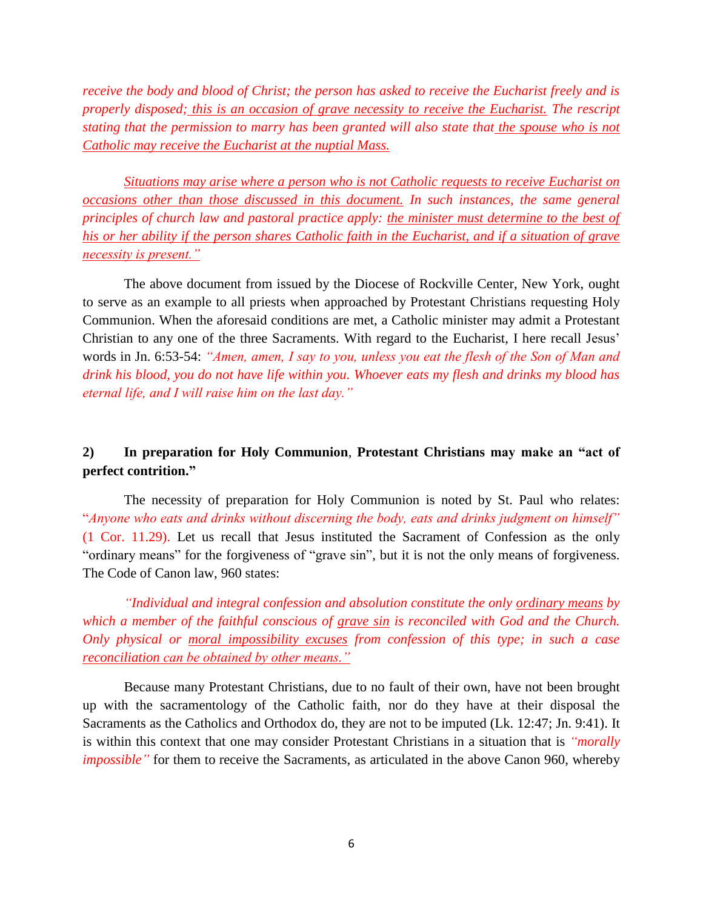*receive the body and blood of Christ; the person has asked to receive the Eucharist freely and is properly disposed; this is an occasion of grave necessity to receive the Eucharist. The rescript stating that the permission to marry has been granted will also state that the spouse who is not Catholic may receive the Eucharist at the nuptial Mass.*

*Situations may arise where a person who is not Catholic requests to receive Eucharist on occasions other than those discussed in this document. In such instances, the same general principles of church law and pastoral practice apply: the minister must determine to the best of his or her ability if the person shares Catholic faith in the Eucharist, and if a situation of grave necessity is present."*

The above document from issued by the Diocese of Rockville Center, New York, ought to serve as an example to all priests when approached by Protestant Christians requesting Holy Communion. When the aforesaid conditions are met, a Catholic minister may admit a Protestant Christian to any one of the three Sacraments. With regard to the Eucharist, I here recall Jesus' words in Jn. 6:53-54: *"Amen, amen, I say to you, unless you eat the flesh of the Son of Man and drink his blood, you do not have life within you. Whoever eats my flesh and drinks my blood has eternal life, and I will raise him on the last day."*

## **2) In preparation for Holy Communion**, **Protestant Christians may make an "act of perfect contrition."**

The necessity of preparation for Holy Communion is noted by St. Paul who relates: "*Anyone who eats and drinks without discerning the body, eats and drinks judgment on himself"* (1 Cor. 11.29). Let us recall that Jesus instituted the Sacrament of Confession as the only "ordinary means" for the forgiveness of "grave sin", but it is not the only means of forgiveness. The Code of Canon law, 960 states:

*"Individual and integral confession and absolution constitute the only ordinary means by which a member of the faithful conscious of grave sin is reconciled with God and the Church. Only physical or moral impossibility excuses from confession of this type; in such a case reconciliation can be obtained by other means."*

Because many Protestant Christians, due to no fault of their own, have not been brought up with the sacramentology of the Catholic faith, nor do they have at their disposal the Sacraments as the Catholics and Orthodox do, they are not to be imputed (Lk. 12:47; Jn. 9:41). It is within this context that one may consider Protestant Christians in a situation that is *"morally impossible*" for them to receive the Sacraments, as articulated in the above Canon 960, whereby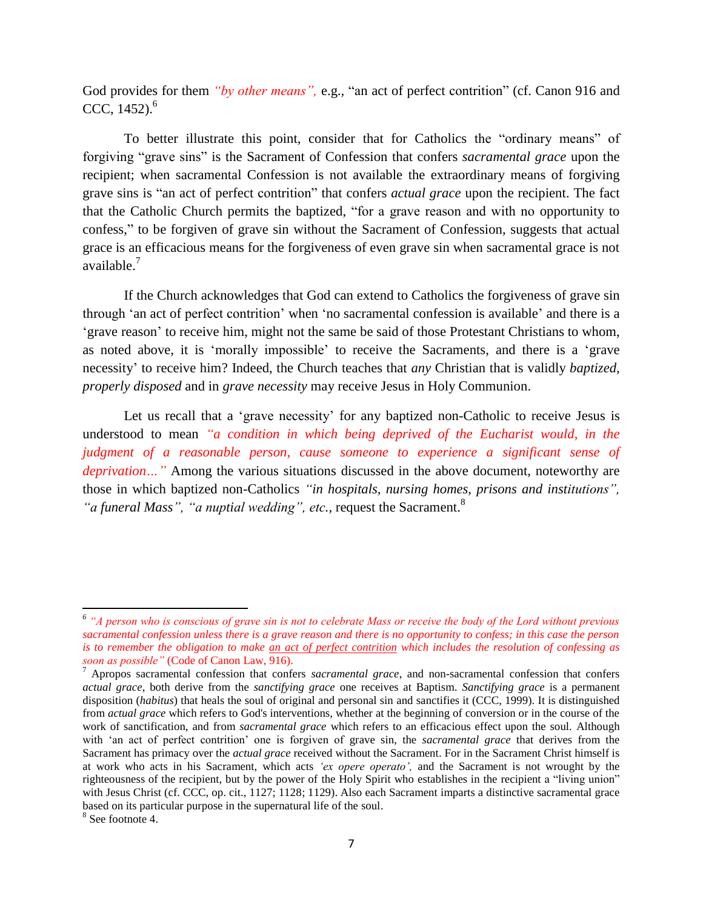God provides for them *"by other means"*, e.g., "an act of perfect contrition" (cf. Canon 916 and CCC, 1452). 6

To better illustrate this point, consider that for Catholics the "ordinary means" of forgiving "grave sins" is the Sacrament of Confession that confers *sacramental grace* upon the recipient; when sacramental Confession is not available the extraordinary means of forgiving grave sins is "an act of perfect contrition" that confers *actual grace* upon the recipient. The fact that the Catholic Church permits the baptized, "for a grave reason and with no opportunity to confess," to be forgiven of grave sin without the Sacrament of Confession, suggests that actual grace is an efficacious means for the forgiveness of even grave sin when sacramental grace is not available.<sup>7</sup>

If the Church acknowledges that God can extend to Catholics the forgiveness of grave sin through 'an act of perfect contrition' when 'no sacramental confession is available' and there is a 'grave reason' to receive him, might not the same be said of those Protestant Christians to whom, as noted above, it is 'morally impossible' to receive the Sacraments, and there is a 'grave necessity' to receive him? Indeed, the Church teaches that *any* Christian that is validly *baptized, properly disposed* and in *grave necessity* may receive Jesus in Holy Communion.

Let us recall that a 'grave necessity' for any baptized non-Catholic to receive Jesus is understood to mean *"a condition in which being deprived of the Eucharist would, in the judgment of a reasonable person, cause someone to experience a significant sense of deprivation…"* Among the various situations discussed in the above document, noteworthy are those in which baptized non-Catholics *"in hospitals, nursing homes, prisons and institutions",*  "*a funeral Mass", "a nuptial wedding", etc., request the Sacrament.*<sup>8</sup>

 $\overline{\phantom{a}}$ 

<sup>&</sup>lt;sup>6</sup> "A person who is conscious of grave sin is not to celebrate Mass or receive the body of the Lord without previous *sacramental confession unless there is a grave reason and there is no opportunity to confess; in this case the person is to remember the obligation to make an act of perfect contrition which includes the resolution of confessing as soon as possible"* (Code of Canon Law, 916).

<sup>7</sup> Apropos sacramental confession that confers *sacramental grace*, and non-sacramental confession that confers *actual grace*, both derive from the *sanctifying grace* one receives at Baptism. *Sanctifying grace* is a permanent disposition (*habitus*) that heals the soul of original and personal sin and sanctifies it (CCC, 1999). It is distinguished from *actual grace* which refers to God's interventions, whether at the beginning of conversion or in the course of the work of sanctification, and from *sacramental grace* which refers to an efficacious effect upon the soul. Although with 'an act of perfect contrition' one is forgiven of grave sin, the *sacramental grace* that derives from the Sacrament has primacy over the *actual grace* received without the Sacrament. For in the Sacrament Christ himself is at work who acts in his Sacrament, which acts *'ex opere operato',* and the Sacrament is not wrought by the righteousness of the recipient, but by the power of the Holy Spirit who establishes in the recipient a "living union" with Jesus Christ (cf. CCC, op. cit., 1127; 1128; 1129). Also each Sacrament imparts a distinctive sacramental grace based on its particular purpose in the supernatural life of the soul.

<sup>8</sup> See footnote 4.